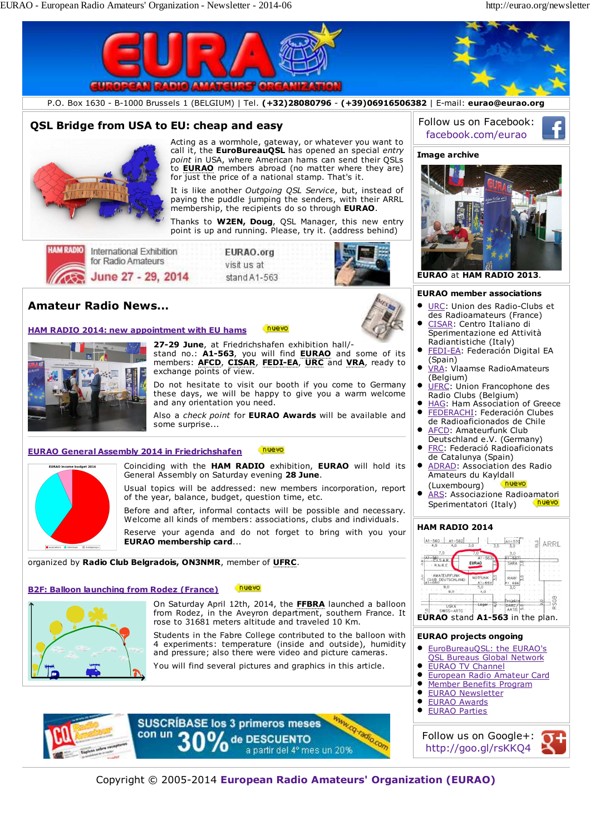